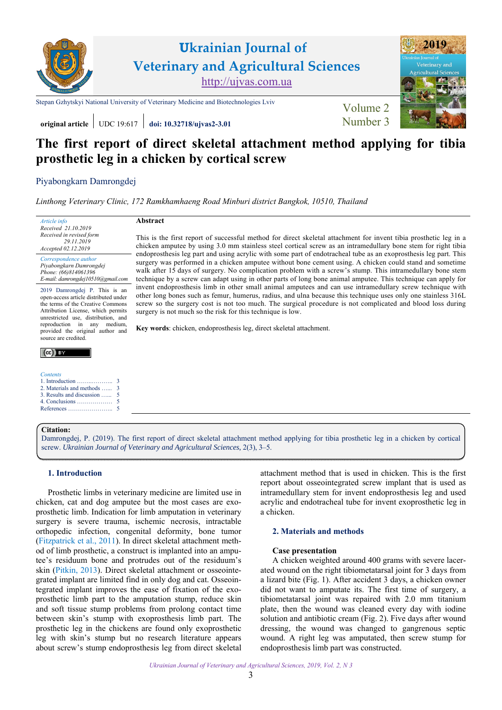

# **The first report of direct skeletal attachment method applying for tibia prosthetic leg in a chicken by cortical screw**

# Piyabongkarn Damrongdej

*Linthong Veterinary Clinic, 172 Ramkhamhaeng Road Minburi district Bangkok, 10510, Thailand* 

surgery is not much so the risk for this technique is low.

**Key words**: chicken, endoprosthesis leg, direct skeletal attachment.

**Abstract** 

*Article info Received 21.10.2019 Received in revised form 29.11.2019 Accepted 02.12.2019* 

*Correspondence author Piyabongkarn Damrongdej Phone: (66)814061396 E-mail: damrongdej10510@gmail.com* 

2019 Damrongdej P. This is an open-access article distributed under the terms of the Creative Commons Attribution License, which permits unrestricted use, distribution, and reproduction in any medium, provided the original author and source are credited.

### $(cc)$  by

#### *Contents*  1. Introduction ……..……….. 2. Materials and methods …... [3. Results and discussion …...](#page-2-0)

- [4. Conclusions ………………](#page-2-0)
- [References …………………..](#page-2-0)

## **Citation:**

[Damrongdej, P. \(2019\). The first report of direct skeletal attachment method applying for tibia prosthetic leg in a chicken by cortical](https://doi.org/10.32718/ujvas2-3.01) screw. *Ukrainian Journal of Veterinary and Agricultural Sciences*, 2(3), 3–5.

# **1. Introduction**

Prosthetic limbs in veterinary medicine are limited use in chicken, cat and dog amputee but the most cases are exoprosthetic limb. Indication for limb amputation in veterinary surgery is severe trauma, ischemic necrosis, intractable orthopedic infection, congenital deformity, bone tumor ([Fitzpatrick et al., 2011](#page-2-0)). In direct skeletal attachment method of limb prosthetic, a construct is implanted into an amputee's residuum bone and protrudes out of the residuum's skin ([Pitkin, 2013\)](#page-2-0). Direct skeletal attachment or osseointegrated implant are limited find in only dog and cat. Osseointegrated implant improves the ease of fixation of the exoprosthetic limb part to the amputation stump, reduce skin and soft tissue stump problems from prolong contact time between skin's stump with exoprosthesis limb part. The prosthetic leg in the chickens are found only exoprosthetic leg with skin's stump but no research literature appears about screw's stump endoprosthesis leg from direct skeletal attachment method that is used in chicken. This is the first report about osseointegrated screw implant that is used as intramedullary stem for invent endoprosthesis leg and used acrylic and endotracheal tube for invent exoprosthetic leg in a chicken.

# **2. Materials and methods**

#### **Case presentation**

This is the first report of successful method for direct skeletal attachment for invent tibia prosthetic leg in a chicken amputee by using 3.0 mm stainless steel cortical screw as an intramedullary bone stem for right tibia endoprosthesis leg part and using acrylic with some part of endotracheal tube as an exoprosthesis leg part. This surgery was performed in a chicken amputee without bone cement using. A chicken could stand and sometime walk after 15 days of surgery. No complication problem with a screw's stump. This intramedullary bone stem technique by a screw can adapt using in other parts of long bone animal amputee. This technique can apply for invent endoprosthesis limb in other small animal amputees and can use intramedullary screw technique with other long bones such as femur, humerus, radius, and ulna because this technique uses only one stainless 316L screw so the surgery cost is not too much. The surgical procedure is not complicated and blood loss during

> A chicken weighted around 400 grams with severe lacerated wound on the right tibiometatarsal joint for 3 days from a lizard bite (Fig. 1). After accident 3 days, a chicken owner did not want to amputate its. The first time of surgery, a tibiometatarsal joint was repaired with 2.0 mm titanium plate, then the wound was cleaned every day with iodine solution and antibiotic cream (Fig. 2). Five days after wound dressing, the wound was changed to gangrenous septic wound. A right leg was amputated, then screw stump for endoprosthesis limb part was constructed.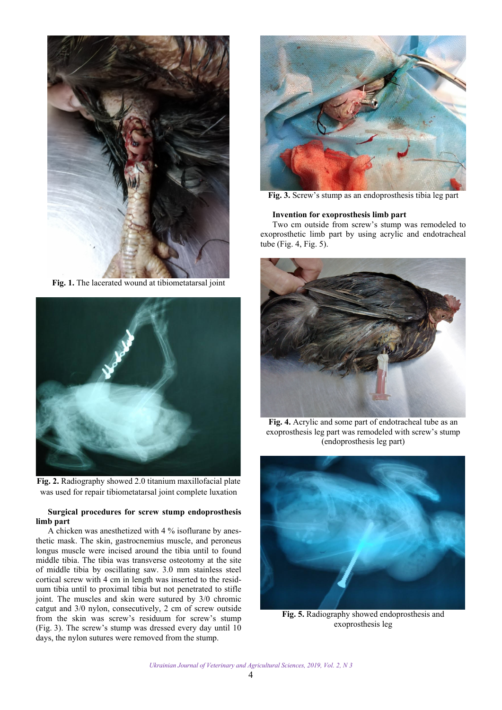<span id="page-1-0"></span>

**Fig. 1.** The lacerated wound at tibiometatarsal joint



**Fig. 2.** Radiography showed 2.0 titanium maxillofacial plate was used for repair tibiometatarsal joint complete luxation

# **Surgical procedures for screw stump endoprosthesis limb part**

A chicken was anesthetized with 4 % isoflurane by anesthetic mask. The skin, gastrocnemius muscle, and peroneus longus muscle were incised around the tibia until to found middle tibia. The tibia was transverse osteotomy at the site of middle tibia by oscillating saw. 3.0 mm stainless steel cortical screw with 4 cm in length was inserted to the residuum tibia until to proximal tibia but not penetrated to stifle joint. The muscles and skin were sutured by 3/0 chromic catgut and 3/0 nylon, consecutively, 2 cm of screw outside from the skin was screw's residuum for screw's stump (Fig. 3). The screw's stump was dressed every day until 10 days, the nylon sutures were removed from the stump.



**Fig. 3.** Screw's stump as an endoprosthesis tibia leg part

# **Invention for exoprosthesis limb part**

Two cm outside from screw's stump was remodeled to exoprosthetic limb part by using acrylic and endotracheal tube (Fig. 4, Fig. 5).



**Fig. 4.** Acrylic and some part of endotracheal tube as an exoprosthesis leg part was remodeled with screw's stump (endoprosthesis leg part)



**Fig. 5.** Radiography showed endoprosthesis and exoprosthesis leg